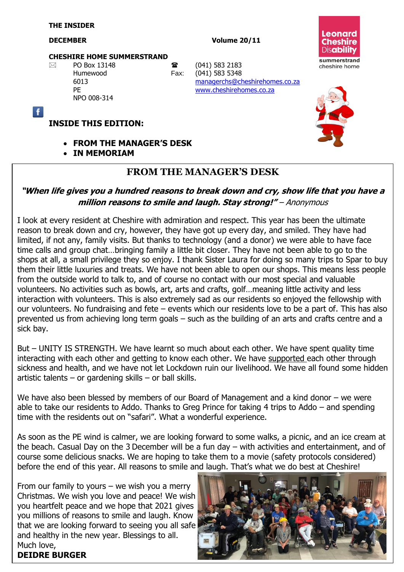Ŧ

#### **DECEMBER** Volume 20/11

#### **CHESHIRE HOME SUMMERSTRAND**

NPO 008-314

 $\boxtimes$  PO Box 13148 **a** (041) 583 2183 Humewood Fax: (041) 583 5348 6013 [managerchs@cheshirehomes.co.za](mailto:managerchs@cheshirehomes.co.za) PE [www.cheshirehomes.co.za](http://www.cheshirehomes.co.za/)





#### **INSIDE THIS EDITION:**

- **FROM THE MANAGER'S DESK**
- **IN MEMORIAM**

#### **FROM THE MANAGER'S DESK**

#### **"When life gives you a hundred reasons to break down and cry, show life that you have a million reasons to smile and laugh. Stay strong!"** – Anonymous

I look at every resident at Cheshire with admiration and respect. This year has been the ultimate reason to break down and cry, however, they have got up every day, and smiled. They have had limited, if not any, family visits. But thanks to technology (and a donor) we were able to have face time calls and group chat…bringing family a little bit closer. They have not been able to go to the shops at all, a small privilege they so enjoy. I thank Sister Laura for doing so many trips to Spar to buy them their little luxuries and treats. We have not been able to open our shops. This means less people from the outside world to talk to, and of course no contact with our most special and valuable volunteers. No activities such as bowls, art, arts and crafts, golf…meaning little activity and less interaction with volunteers. This is also extremely sad as our residents so enjoyed the fellowship with our volunteers. No fundraising and fete – events which our residents love to be a part of. This has also prevented us from achieving long term goals – such as the building of an arts and crafts centre and a sick bay.

But – UNITY IS STRENGTH. We have learnt so much about each other. We have spent quality time interacting with each other and getting to know each other. We have supported each other through sickness and health, and we have not let Lockdown ruin our livelihood. We have all found some hidden artistic talents – or gardening skills – or ball skills.

We have also been blessed by members of our Board of Management and a kind donor – we were able to take our residents to Addo. Thanks to Greg Prince for taking 4 trips to Addo – and spending time with the residents out on "safari". What a wonderful experience.

As soon as the PE wind is calmer, we are looking forward to some walks, a picnic, and an ice cream at the beach. Casual Day on the 3 December will be a fun day – with activities and entertainment, and of course some delicious snacks. We are hoping to take them to a movie (safety protocols considered) before the end of this year. All reasons to smile and laugh. That's what we do best at Cheshire!

From our family to yours  $-$  we wish you a merry Christmas. We wish you love and peace! We wish you heartfelt peace and we hope that 2021 gives you millions of reasons to smile and laugh. Know that we are looking forward to seeing you all safe and healthy in the new year. Blessings to all. Much love, **DEIDRE BURGER**

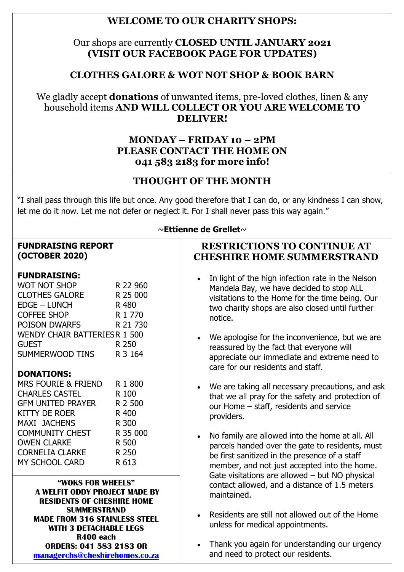## **WELCOME TO OUR CHARITY SHOPS:**

### Our shops are currently **CLOSED UNTIL JANUARY 2021 (VISIT OUR FACEBOOK PAGE FOR UPDATES)**

## **CLOTHES GALORE & WOT NOT SHOP & BOOK BARN**

#### We gladly accept **donations** of unwanted items, pre-loved clothes, linen & any household items **AND WILL COLLECT OR YOU ARE WELCOME TO DELIVER!**

#### **MONDAY – FRIDAY 10 – 2PM PLEASE CONTACT THE HOME ON 041 583 2183 for more info!**

## **THOUGHT OF THE MONTH**

"I shall pass through this life but once. Any good therefore that I can do, or any kindness I can show, let me do it now. Let me not defer or neglect it. For I shall never pass this way again."

#### **FUNDRAISING REPORT (OCTOBER 2020)**

#### **FUNDRAISING:**

| <b>WOT NOT SHOP</b>                 | R 22 960 |
|-------------------------------------|----------|
| <b>CLOTHES GALORE</b>               | R 25 000 |
| <b>EDGE - LUNCH</b>                 | R 480    |
| <b>COFFEE SHOP</b>                  | R 1 770  |
| <b>POISON DWARFS</b>                | R 21 730 |
| <b>WENDY CHAIR BATTERIESR 1 500</b> |          |
| <b>GUEST</b>                        | R 250    |
| SUMMERWOOD TINS                     | R 3 164  |

#### **DONATIONS:**

| <b>MRS FOURIE &amp; FRIEND</b> | R 1 800  |
|--------------------------------|----------|
| <b>CHARLES CASTEL</b>          | R 100    |
| <b>GFM UNITED PRAYER</b>       | R 2 500  |
| <b>KITTY DE ROER</b>           | R 400    |
| <b>MAXI JACHENS</b>            | R 300    |
| <b>COMMUNITY CHEST</b>         | R 35 000 |
| <b>OWEN CLARKE</b>             | R 500    |
| <b>CORNELIA CLARKE</b>         | R 250    |
| <b>MY SCHOOL CARD</b>          | R 613    |
|                                |          |

**"WOKS FOR WHEELS" A WELFIT ODDY PROJECT MADE BY RESIDENTS OF CHESHIRE HOME SUMMERSTRAND MADE FROM 316 STAINLESS STEEL WITH 3 DETACHABLE LEGS R400 each ORDERS: 041 583 2183 OR [managerchs@cheshirehomes.co.za](mailto:managerchs@cheshirehomes.co.za)**

#### ~**Ettienne de Grellet**~

#### **RESTRICTIONS TO CONTINUE AT CHESHIRE HOME SUMMERSTRAND**

- In light of the high infection rate in the Nelson Mandela Bay, we have decided to stop ALL visitations to the Home for the time being. Our two charity shops are also closed until further notice.
- We apologise for the inconvenience, but we are reassured by the fact that everyone will appreciate our immediate and extreme need to care for our residents and staff.
- We are taking all necessary precautions, and ask that we all pray for the safety and protection of our Home – staff, residents and service providers.
- No family are allowed into the home at all. All parcels handed over the gate to residents, must be first sanitized in the presence of a staff member, and not just accepted into the home. Gate visitations are allowed – but NO physical contact allowed, and a distance of 1.5 meters maintained.
- Residents are still not allowed out of the Home unless for medical appointments.
- Thank you again for understanding our urgency and need to protect our residents.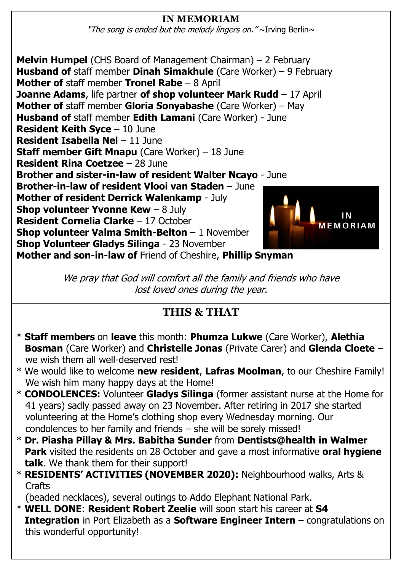## **IN MEMORIAM**

"The song is ended but the melody lingers on." $\sim$ Irving Berlin $\sim$ 

**Melvin Humpel** (CHS Board of Management Chairman) – 2 February **Husband of** staff member **Dinah Simakhule** (Care Worker) – 9 February **Mother of** staff member **Tronel Rabe** – 8 April **Joanne Adams**, life partner **of shop volunteer Mark Rudd** – 17 April **Mother of** staff member **Gloria Sonyabashe** (Care Worker) – May **Husband of** staff member **Edith Lamani** (Care Worker) - June **Resident Keith Syce** – 10 June **Resident Isabella Nel** – 11 June **Staff member Gift Mnapu** (Care Worker) – 18 June **Resident Rina Coetzee** – 28 June **Brother and sister-in-law of resident Walter Ncayo** - June **Brother-in-law of resident Vlooi van Staden** – June **Mother of resident Derrick Walenkamp** - July **Shop volunteer Yvonne Kew - 8 July Resident Cornelia Clarke** – 17 October MEMORIAM **Shop volunteer Valma Smith-Belton** – 1 November **Shop Volunteer Gladys Silinga** - 23 November **Mother and son-in-law of** Friend of Cheshire, **Phillip Snyman**

> We pray that God will comfort all the family and friends who have lost loved ones during the year.

# **THIS & THAT**

- \* **Staff members** on **leave** this month: **Phumza Lukwe** (Care Worker), **Alethia Bosman** (Care Worker) and **Christelle Jonas** (Private Carer) and **Glenda Cloete** – we wish them all well-deserved rest!
- \* We would like to welcome **new resident**, **Lafras Moolman**, to our Cheshire Family! We wish him many happy days at the Home!
- \* **CONDOLENCES:** Volunteer **Gladys Silinga** (former assistant nurse at the Home for 41 years) sadly passed away on 23 November. After retiring in 2017 she started volunteering at the Home's clothing shop every Wednesday morning. Our condolences to her family and friends – she will be sorely missed!
- \* **Dr. Piasha Pillay & Mrs. Babitha Sunder** from **Dentists@health in Walmer Park** visited the residents on 28 October and gave a most informative **oral hygiene talk**. We thank them for their support!
- \* **RESIDENTS' ACTIVITIES (NOVEMBER 2020):** Neighbourhood walks, Arts & **Crafts**

(beaded necklaces), several outings to Addo Elephant National Park.

\* **WELL DONE**: **Resident Robert Zeelie** will soon start his career at **S4 Integration** in Port Elizabeth as a **Software Engineer Intern** – congratulations on this wonderful opportunity!